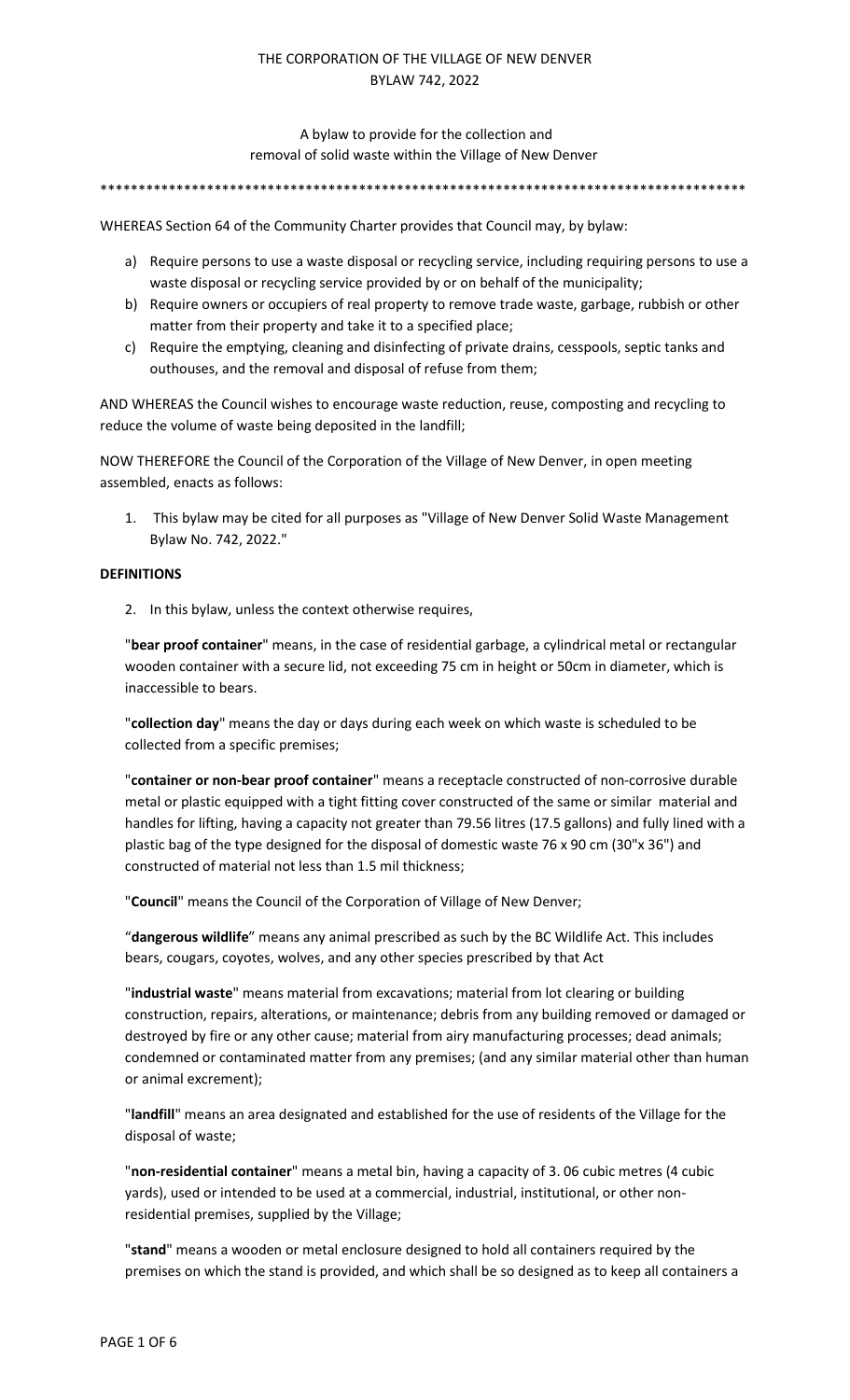A bylaw to provide for the collection and removal of solid waste within the Village of New Denver

\*\*\*\*\*\*\*\*\*\*\*\*\*\*\*\*\*\*\*\*\*\*\*\*\*\*\*\*\*\*\*\*\*\*\*\*\*\*\*\*\*\*\*\*\*\*\*\*\*\*\*\*\*\*\*\*\*\*\*\*\*\*\*\*\*\*\*\*\*\*\*\*\*\*\*\*\*\*\*\*\*\*\*\*\*

WHEREAS Section 64 of the Community Charter provides that Council may, by bylaw:

- a) Require persons to use a waste disposal or recycling service, including requiring persons to use a waste disposal or recycling service provided by or on behalf of the municipality;
- b) Require owners or occupiers of real property to remove trade waste, garbage, rubbish or other matter from their property and take it to a specified place;
- c) Require the emptying, cleaning and disinfecting of private drains, cesspools, septic tanks and outhouses, and the removal and disposal of refuse from them;

AND WHEREAS the Council wishes to encourage waste reduction, reuse, composting and recycling to reduce the volume of waste being deposited in the landfill;

NOW THEREFORE the Council of the Corporation of the Village of New Denver, in open meeting assembled, enacts as follows:

1. This bylaw may be cited for all purposes as "Village of New Denver Solid Waste Management Bylaw No. 742, 2022."

#### **DEFINITIONS**

2. In this bylaw, unless the context otherwise requires,

"**bear proof container**" means, in the case of residential garbage, a cylindrical metal or rectangular wooden container with a secure lid, not exceeding 75 cm in height or 50cm in diameter, which is inaccessible to bears.

"**collection day**" means the day or days during each week on which waste is scheduled to be collected from a specific premises;

"**container or non-bear proof container**" means a receptacle constructed of non-corrosive durable metal or plastic equipped with a tight fitting cover constructed of the same or similar material and handles for lifting, having a capacity not greater than 79.56 litres (17.5 gallons) and fully lined with a plastic bag of the type designed for the disposal of domestic waste 76 x 90 cm (30"x 36") and constructed of material not less than 1.5 mil thickness;

"**Council**" means the Council of the Corporation of Village of New Denver;

"**dangerous wildlife**" means any animal prescribed as such by the BC Wildlife Act. This includes bears, cougars, coyotes, wolves, and any other species prescribed by that Act

"**industrial waste**" means material from excavations; material from lot clearing or building construction, repairs, alterations, or maintenance; debris from any building removed or damaged or destroyed by fire or any other cause; material from airy manufacturing processes; dead animals; condemned or contaminated matter from any premises; (and any similar material other than human or animal excrement);

"**landfill**" means an area designated and established for the use of residents of the Village for the disposal of waste;

"**non-residential container**" means a metal bin, having a capacity of 3. 06 cubic metres (4 cubic yards), used or intended to be used at a commercial, industrial, institutional, or other nonresidential premises, supplied by the Village;

"**stand**" means a wooden or metal enclosure designed to hold all containers required by the premises on which the stand is provided, and which shall be so designed as to keep all containers a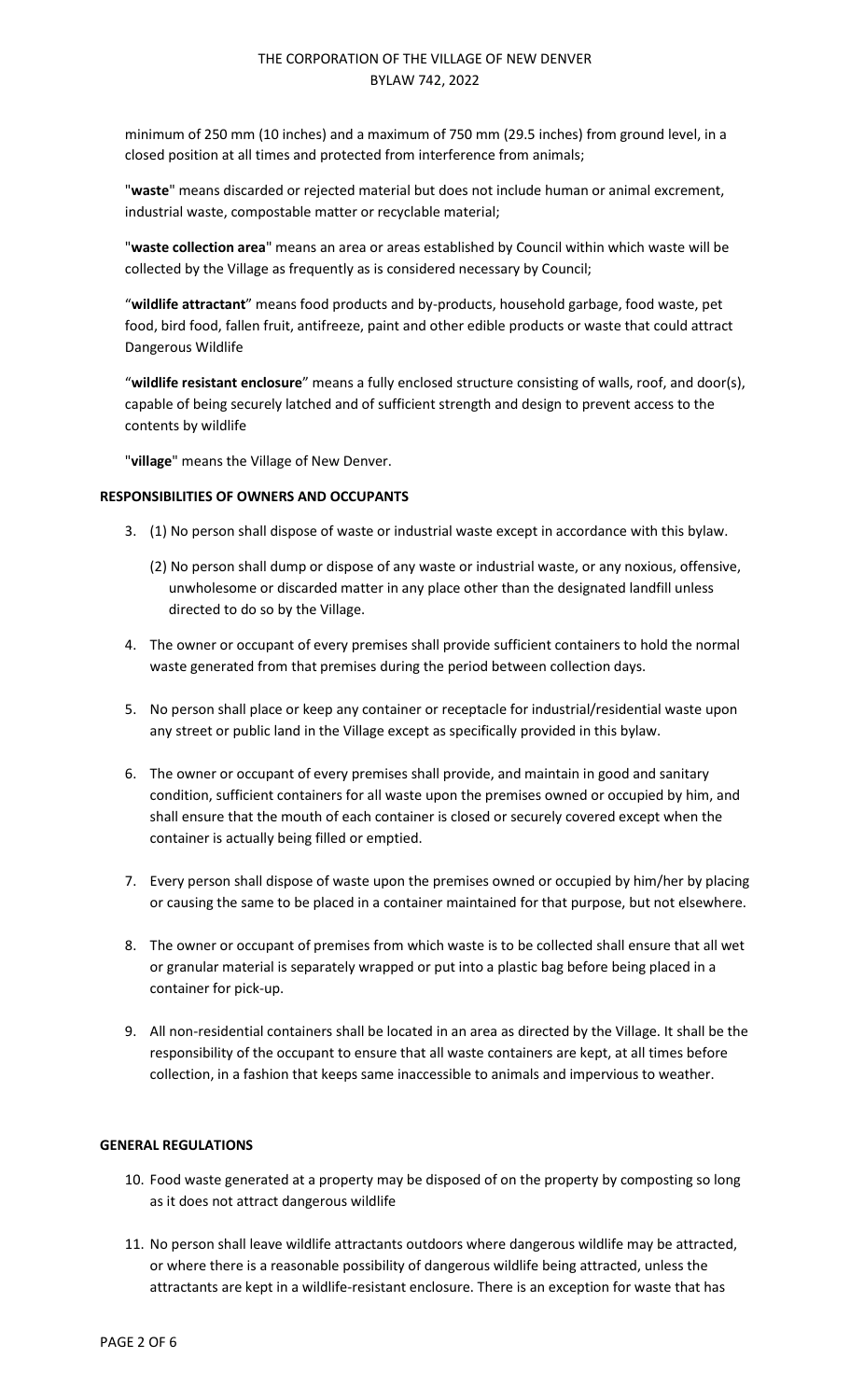minimum of 250 mm (10 inches) and a maximum of 750 mm (29.5 inches) from ground level, in a closed position at all times and protected from interference from animals;

"**waste**" means discarded or rejected material but does not include human or animal excrement, industrial waste, compostable matter or recyclable material;

"**waste collection area**" means an area or areas established by Council within which waste will be collected by the Village as frequently as is considered necessary by Council;

"**wildlife attractant**" means food products and by-products, household garbage, food waste, pet food, bird food, fallen fruit, antifreeze, paint and other edible products or waste that could attract Dangerous Wildlife

"**wildlife resistant enclosure**" means a fully enclosed structure consisting of walls, roof, and door(s), capable of being securely latched and of sufficient strength and design to prevent access to the contents by wildlife

"**village**" means the Village of New Denver.

### **RESPONSIBILITIES OF OWNERS AND OCCUPANTS**

- 3. (1) No person shall dispose of waste or industrial waste except in accordance with this bylaw.
	- (2) No person shall dump or dispose of any waste or industrial waste, or any noxious, offensive, unwholesome or discarded matter in any place other than the designated landfill unless directed to do so by the Village.
- 4. The owner or occupant of every premises shall provide sufficient containers to hold the normal waste generated from that premises during the period between collection days.
- 5. No person shall place or keep any container or receptacle for industrial/residential waste upon any street or public land in the Village except as specifically provided in this bylaw.
- 6. The owner or occupant of every premises shall provide, and maintain in good and sanitary condition, sufficient containers for all waste upon the premises owned or occupied by him, and shall ensure that the mouth of each container is closed or securely covered except when the container is actually being filled or emptied.
- 7. Every person shall dispose of waste upon the premises owned or occupied by him/her by placing or causing the same to be placed in a container maintained for that purpose, but not elsewhere.
- 8. The owner or occupant of premises from which waste is to be collected shall ensure that all wet or granular material is separately wrapped or put into a plastic bag before being placed in a container for pick-up.
- 9. All non-residential containers shall be located in an area as directed by the Village. It shall be the responsibility of the occupant to ensure that all waste containers are kept, at all times before collection, in a fashion that keeps same inaccessible to animals and impervious to weather.

### **GENERAL REGULATIONS**

- 10. Food waste generated at a property may be disposed of on the property by composting so long as it does not attract dangerous wildlife
- 11. No person shall leave wildlife attractants outdoors where dangerous wildlife may be attracted, or where there is a reasonable possibility of dangerous wildlife being attracted, unless the attractants are kept in a wildlife-resistant enclosure. There is an exception for waste that has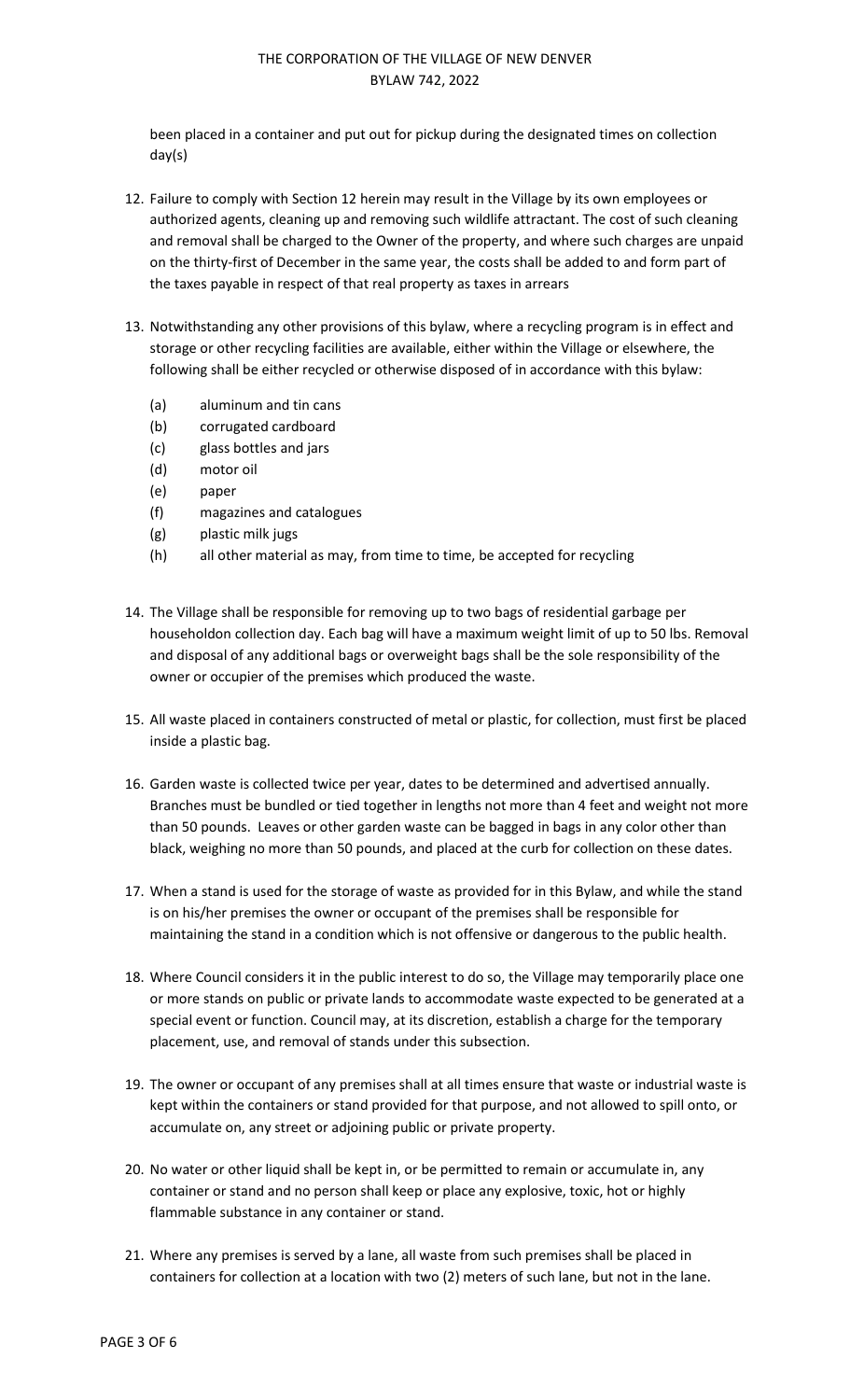been placed in a container and put out for pickup during the designated times on collection day(s)

- 12. Failure to comply with Section 12 herein may result in the Village by its own employees or authorized agents, cleaning up and removing such wildlife attractant. The cost of such cleaning and removal shall be charged to the Owner of the property, and where such charges are unpaid on the thirty-first of December in the same year, the costs shall be added to and form part of the taxes payable in respect of that real property as taxes in arrears
- 13. Notwithstanding any other provisions of this bylaw, where a recycling program is in effect and storage or other recycling facilities are available, either within the Village or elsewhere, the following shall be either recycled or otherwise disposed of in accordance with this bylaw:
	- (a) aluminum and tin cans
	- (b) corrugated cardboard
	- (c) glass bottles and jars
	- (d) motor oil
	- (e) paper
	- (f) magazines and catalogues
	- (g) plastic milk jugs
	- (h) all other material as may, from time to time, be accepted for recycling
- 14. The Village shall be responsible for removing up to two bags of residential garbage per householdon collection day. Each bag will have a maximum weight limit of up to 50 lbs. Removal and disposal of any additional bags or overweight bags shall be the sole responsibility of the owner or occupier of the premises which produced the waste.
- 15. All waste placed in containers constructed of metal or plastic, for collection, must first be placed inside a plastic bag.
- 16. Garden waste is collected twice per year, dates to be determined and advertised annually. Branches must be bundled or tied together in lengths not more than 4 feet and weight not more than 50 pounds. Leaves or other garden waste can be bagged in bags in any color other than black, weighing no more than 50 pounds, and placed at the curb for collection on these dates.
- 17. When a stand is used for the storage of waste as provided for in this Bylaw, and while the stand is on his/her premises the owner or occupant of the premises shall be responsible for maintaining the stand in a condition which is not offensive or dangerous to the public health.
- 18. Where Council considers it in the public interest to do so, the Village may temporarily place one or more stands on public or private lands to accommodate waste expected to be generated at a special event or function. Council may, at its discretion, establish a charge for the temporary placement, use, and removal of stands under this subsection.
- 19. The owner or occupant of any premises shall at all times ensure that waste or industrial waste is kept within the containers or stand provided for that purpose, and not allowed to spill onto, or accumulate on, any street or adjoining public or private property.
- 20. No water or other liquid shall be kept in, or be permitted to remain or accumulate in, any container or stand and no person shall keep or place any explosive, toxic, hot or highly flammable substance in any container or stand.
- 21. Where any premises is served by a lane, all waste from such premises shall be placed in containers for collection at a location with two (2) meters of such lane, but not in the lane.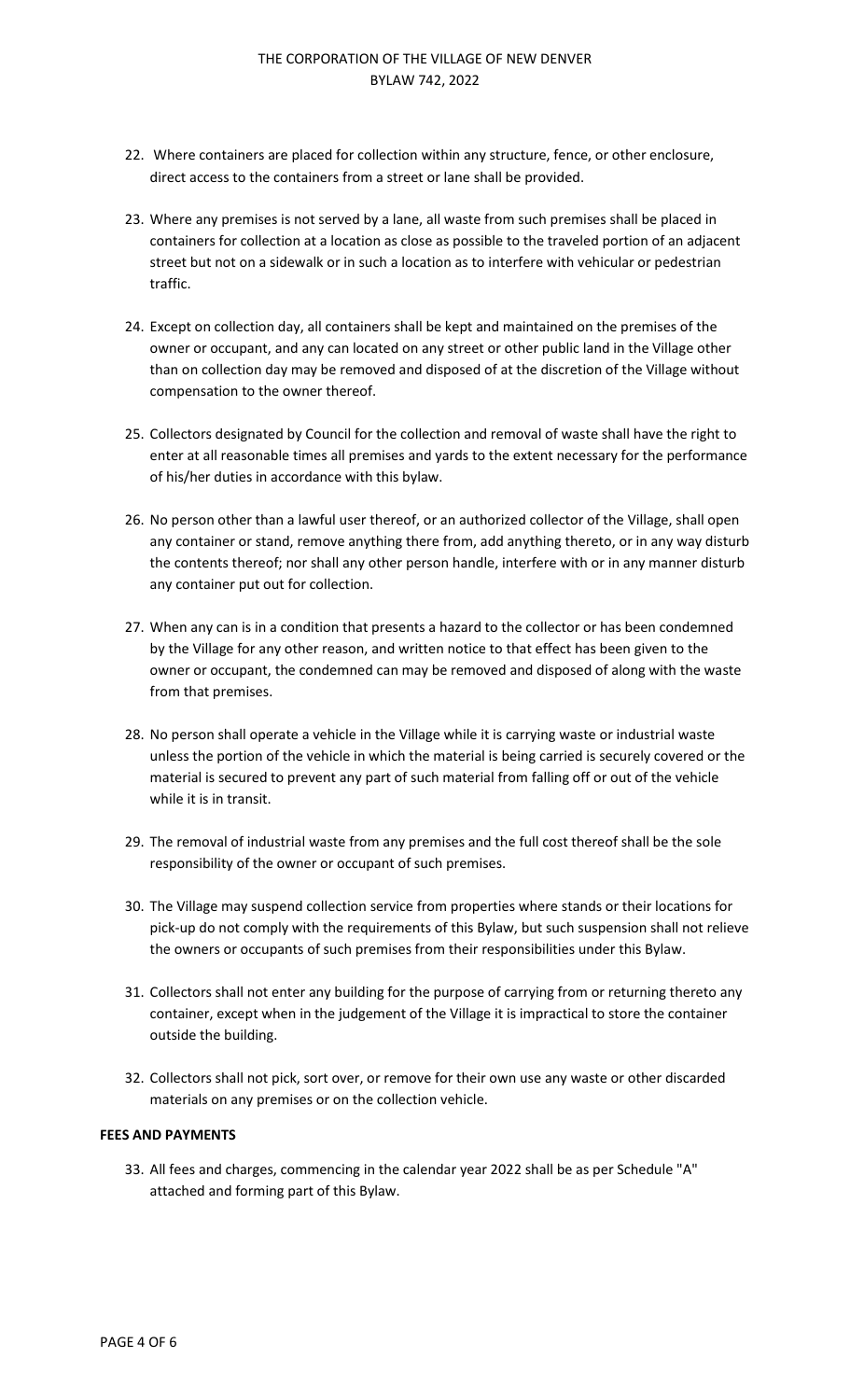- 22. Where containers are placed for collection within any structure, fence, or other enclosure, direct access to the containers from a street or lane shall be provided.
- 23. Where any premises is not served by a lane, all waste from such premises shall be placed in containers for collection at a location as close as possible to the traveled portion of an adjacent street but not on a sidewalk or in such a location as to interfere with vehicular or pedestrian traffic.
- 24. Except on collection day, all containers shall be kept and maintained on the premises of the owner or occupant, and any can located on any street or other public land in the Village other than on collection day may be removed and disposed of at the discretion of the Village without compensation to the owner thereof.
- 25. Collectors designated by Council for the collection and removal of waste shall have the right to enter at all reasonable times all premises and yards to the extent necessary for the performance of his/her duties in accordance with this bylaw.
- 26. No person other than a lawful user thereof, or an authorized collector of the Village, shall open any container or stand, remove anything there from, add anything thereto, or in any way disturb the contents thereof; nor shall any other person handle, interfere with or in any manner disturb any container put out for collection.
- 27. When any can is in a condition that presents a hazard to the collector or has been condemned by the Village for any other reason, and written notice to that effect has been given to the owner or occupant, the condemned can may be removed and disposed of along with the waste from that premises.
- 28. No person shall operate a vehicle in the Village while it is carrying waste or industrial waste unless the portion of the vehicle in which the material is being carried is securely covered or the material is secured to prevent any part of such material from falling off or out of the vehicle while it is in transit.
- 29. The removal of industrial waste from any premises and the full cost thereof shall be the sole responsibility of the owner or occupant of such premises.
- 30. The Village may suspend collection service from properties where stands or their locations for pick-up do not comply with the requirements of this Bylaw, but such suspension shall not relieve the owners or occupants of such premises from their responsibilities under this Bylaw.
- 31. Collectors shall not enter any building for the purpose of carrying from or returning thereto any container, except when in the judgement of the Village it is impractical to store the container outside the building.
- 32. Collectors shall not pick, sort over, or remove for their own use any waste or other discarded materials on any premises or on the collection vehicle.

### **FEES AND PAYMENTS**

33. All fees and charges, commencing in the calendar year 2022 shall be as per Schedule "A" attached and forming part of this Bylaw.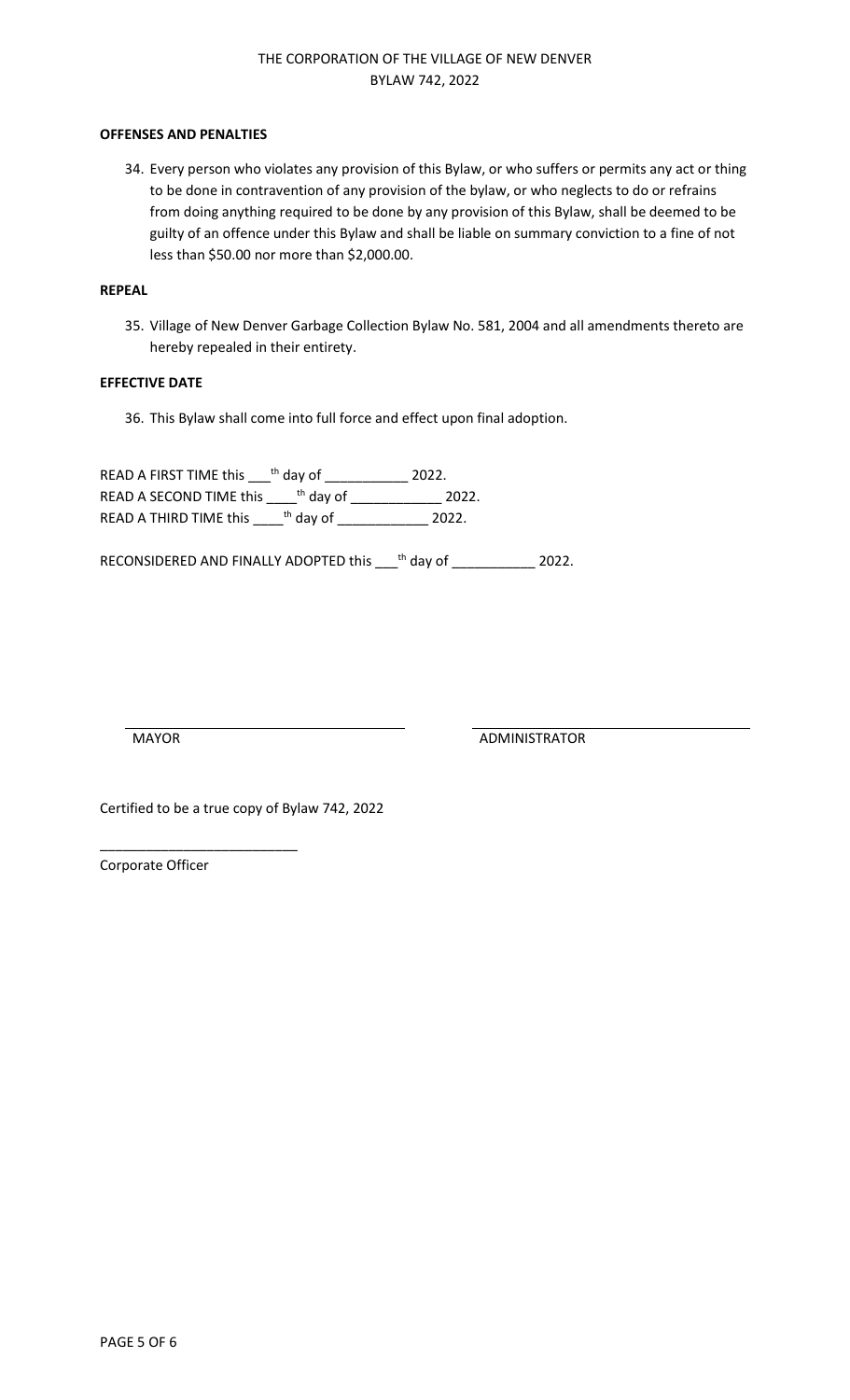#### **OFFENSES AND PENALTIES**

34. Every person who violates any provision of this Bylaw, or who suffers or permits any act or thing to be done in contravention of any provision of the bylaw, or who neglects to do or refrains from doing anything required to be done by any provision of this Bylaw, shall be deemed to be guilty of an offence under this Bylaw and shall be liable on summary conviction to a fine of not less than \$50.00 nor more than \$2,000.00.

#### **REPEAL**

35. Village of New Denver Garbage Collection Bylaw No. 581, 2004 and all amendments thereto are hereby repealed in their entirety.

#### **EFFECTIVE DATE**

36. This Bylaw shall come into full force and effect upon final adoption.

READ A FIRST TIME this  $\_\!\_$ <sup>th</sup> day of \_\_\_\_\_\_\_\_\_\_\_\_\_ 2022. READ A SECOND TIME this \_\_\_\_\_<sup>th</sup> day of \_\_\_\_\_\_\_\_\_\_\_\_\_\_\_ 2022. READ A THIRD TIME this \_\_\_\_\_<sup>th</sup> day of \_\_\_\_\_\_\_\_\_\_\_\_\_\_\_ 2022.

RECONSIDERED AND FINALLY ADOPTED this \_\_\_<sup>th</sup> day of \_\_\_\_\_\_\_\_\_\_\_\_ 2022.

MAYOR ADMINISTRATOR

Certified to be a true copy of Bylaw 742, 2022

Corporate Officer

\_\_\_\_\_\_\_\_\_\_\_\_\_\_\_\_\_\_\_\_\_\_\_\_\_\_